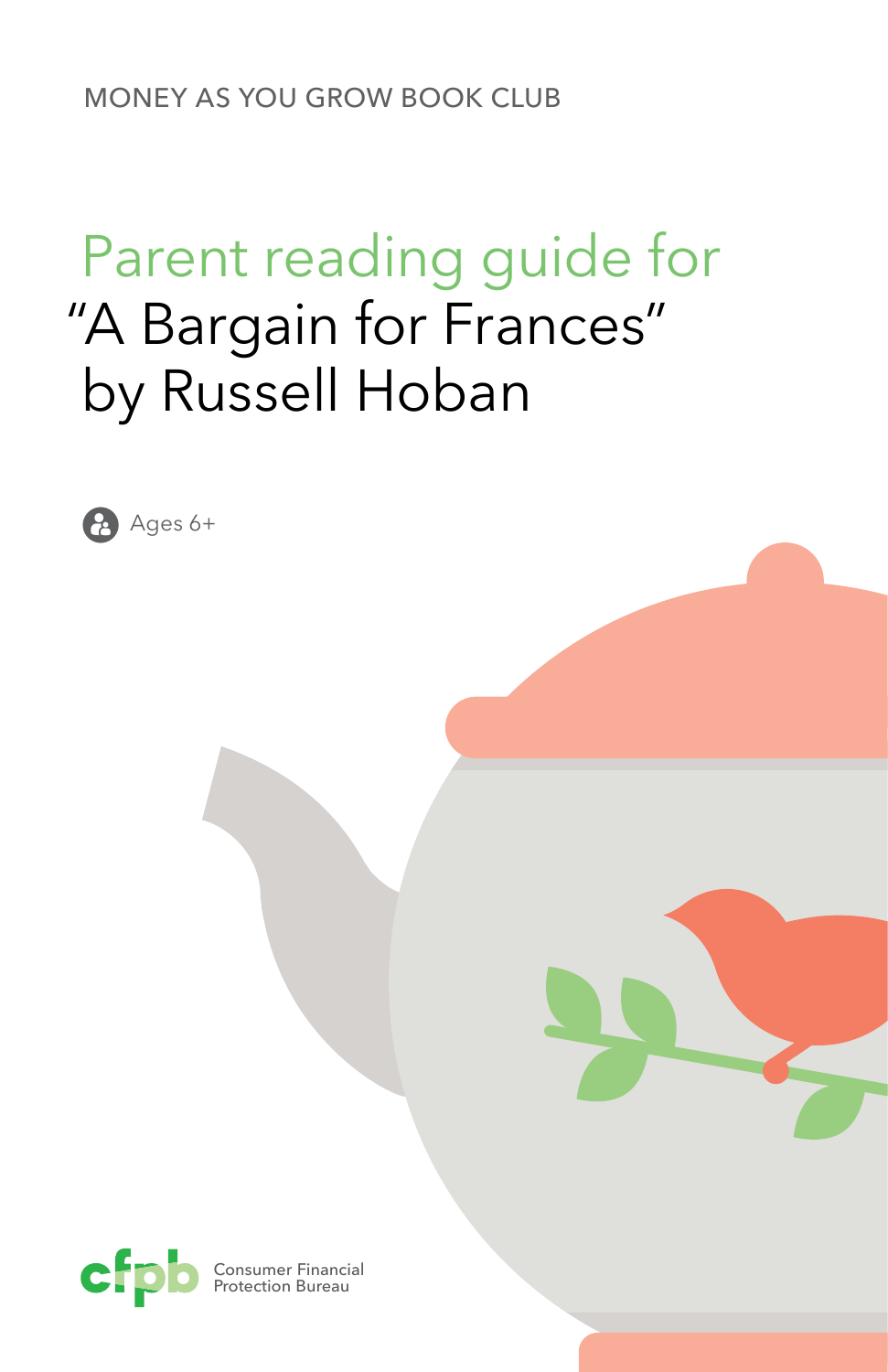MONEY AS YOU GROW BOOK CLUB

## Parent reading guide for "A Bargain for Frances" by Russell Hoban



**Ages 6+** 

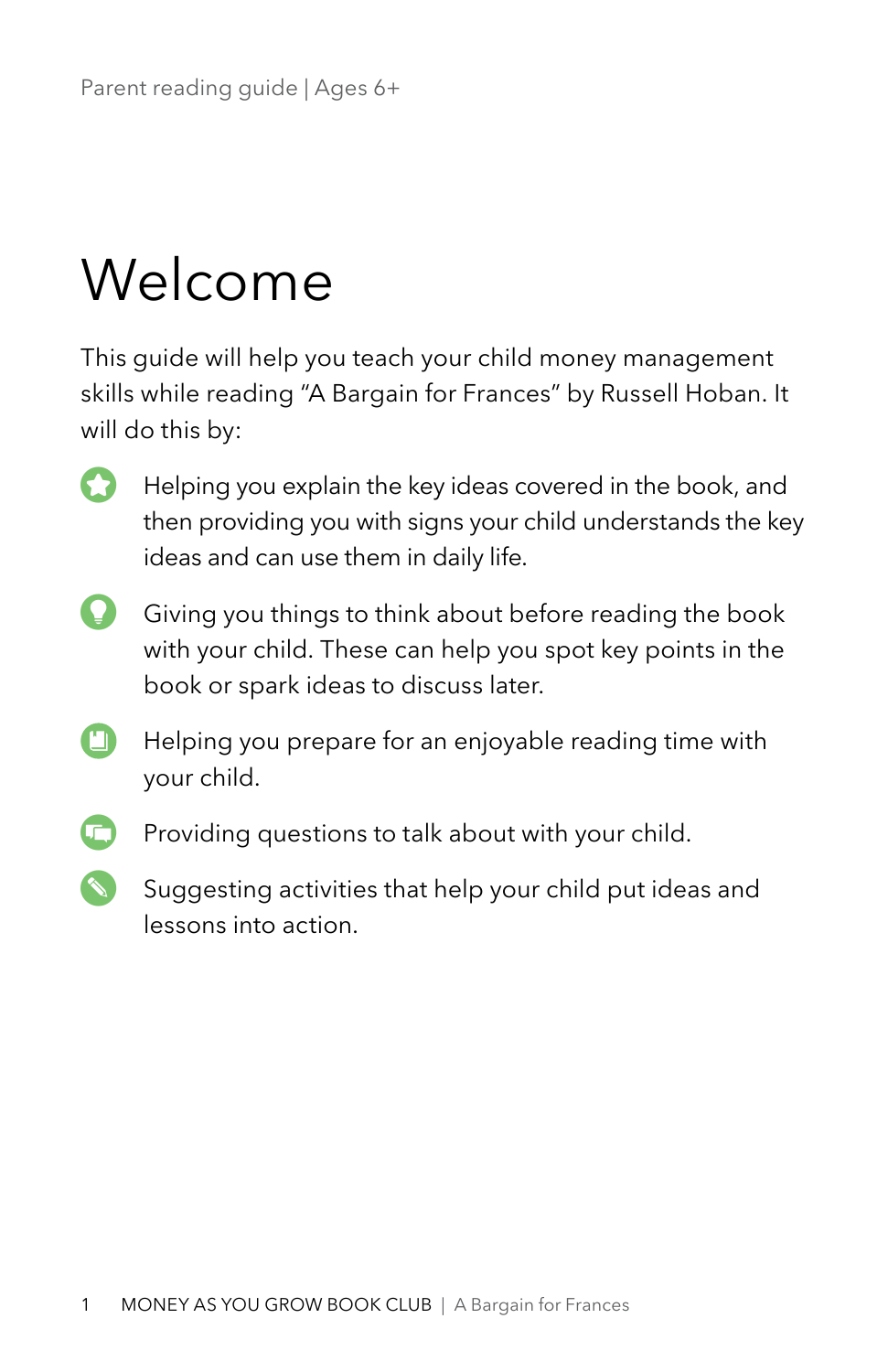# Welcome

This guide will help you teach your child money management skills while reading "A Bargain for Frances" by Russell Hoban. It will do this by:

- **Helping you explain the key ideas covered in the book, and** then providing you with signs your child understands the key ideas and can use them in daily life.
- Giving you things to think about before reading the book with your child. These can help you spot key points in the book or spark ideas to discuss later.
- $\blacksquare$ Helping you prepare for an enjoyable reading time with your child.
- Providing questions to talk about with your child.
	- Suggesting activities that help your child put ideas and lessons into action.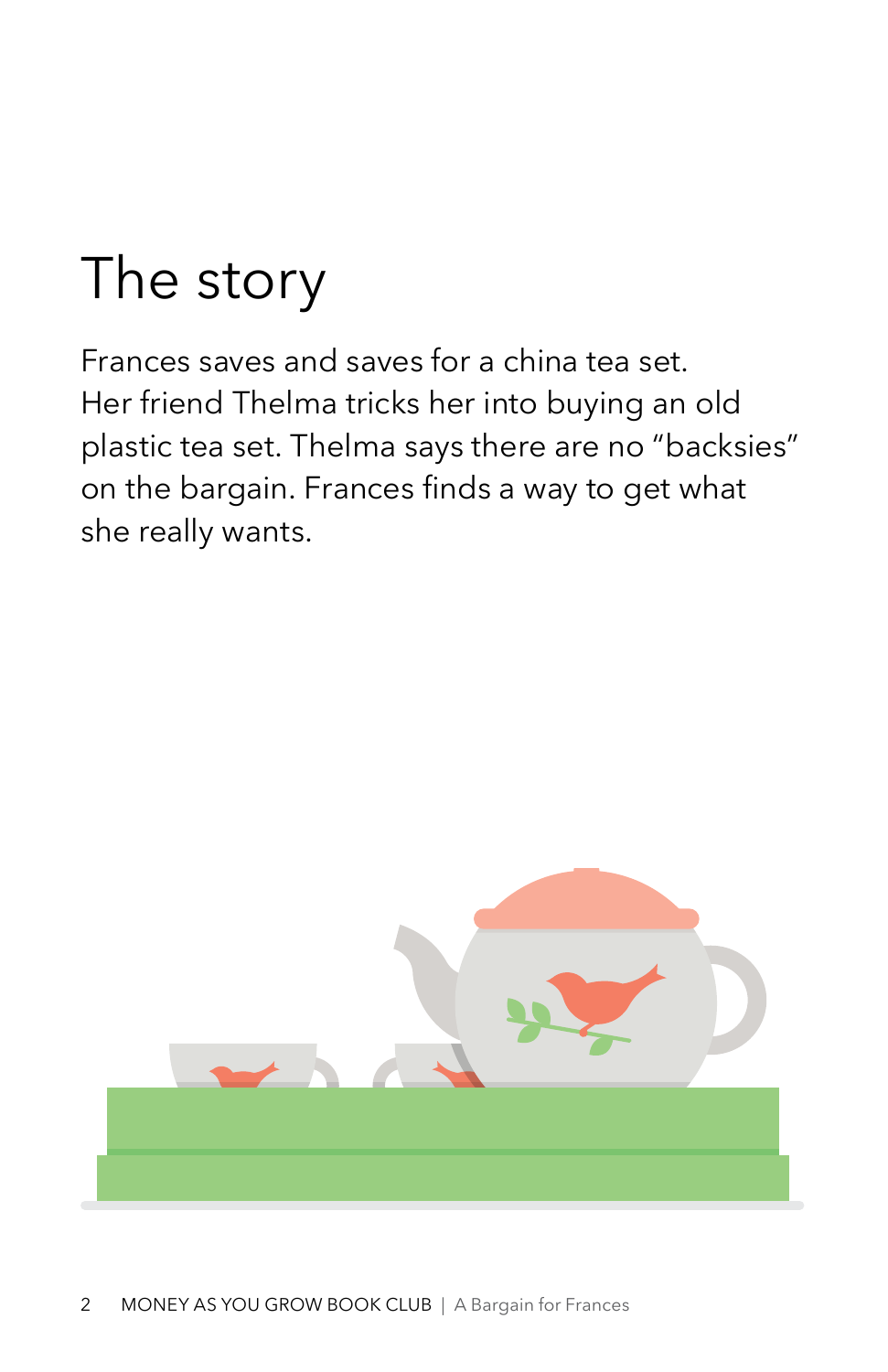# The story

Frances saves and saves for a china tea set. Her friend Thelma tricks her into buying an old plastic tea set. Thelma says there are no "backsies" on the bargain. Frances finds a way to get what she really wants.

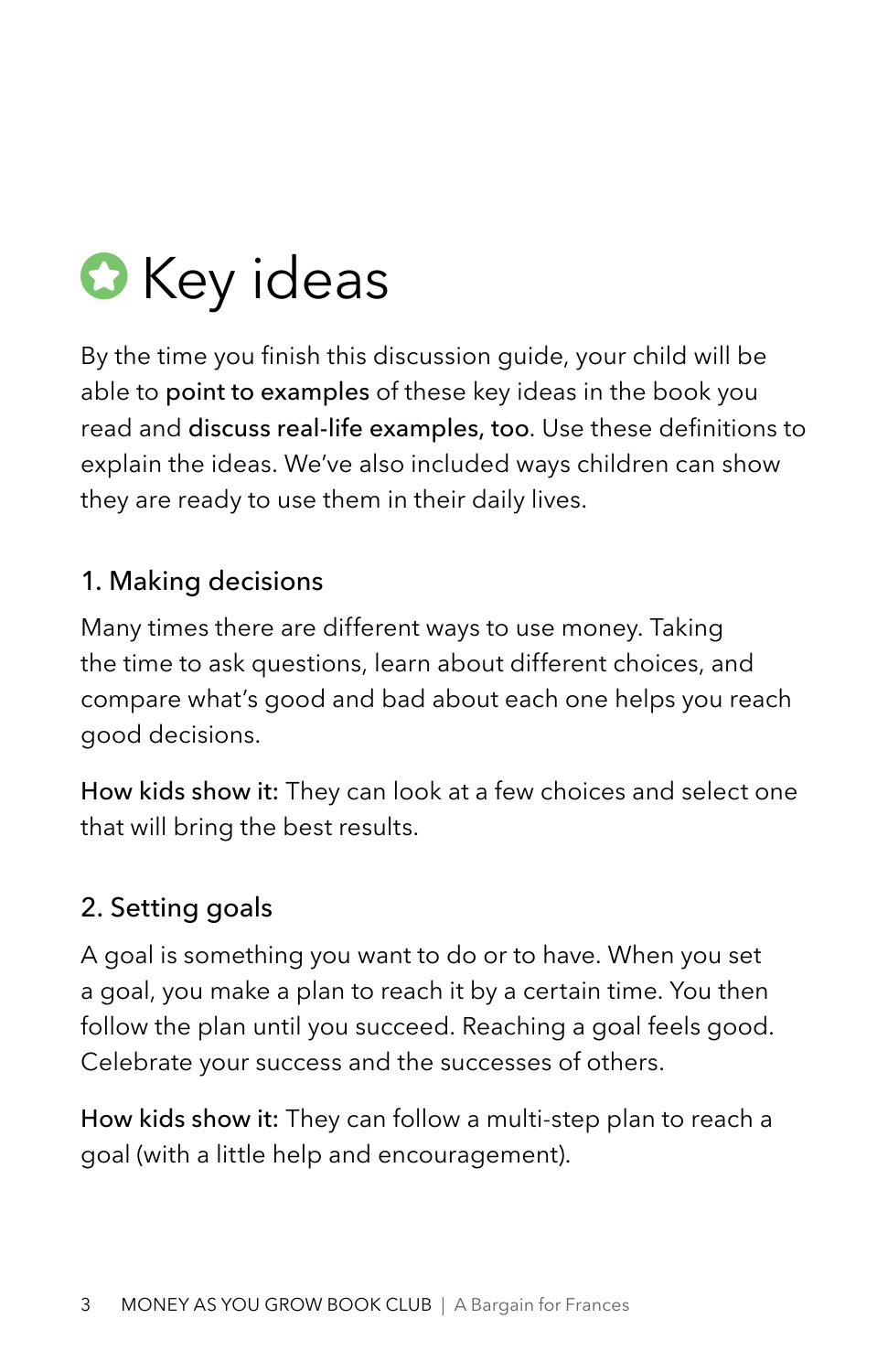

By the time you finish this discussion guide, your child will be able to point to examples of these key ideas in the book you read and discuss real-life examples, too. Use these definitions to explain the ideas. We've also included ways children can show they are ready to use them in their daily lives.

### 1. Making decisions

Many times there are different ways to use money. Taking the time to ask questions, learn about different choices, and compare what's good and bad about each one helps you reach good decisions.

How kids show it: They can look at a few choices and select one that will bring the best results.

### 2. Setting goals

A goal is something you want to do or to have. When you set a goal, you make a plan to reach it by a certain time. You then follow the plan until you succeed. Reaching a goal feels good. Celebrate your success and the successes of others.

How kids show it: They can follow a multi-step plan to reach a goal (with a little help and encouragement).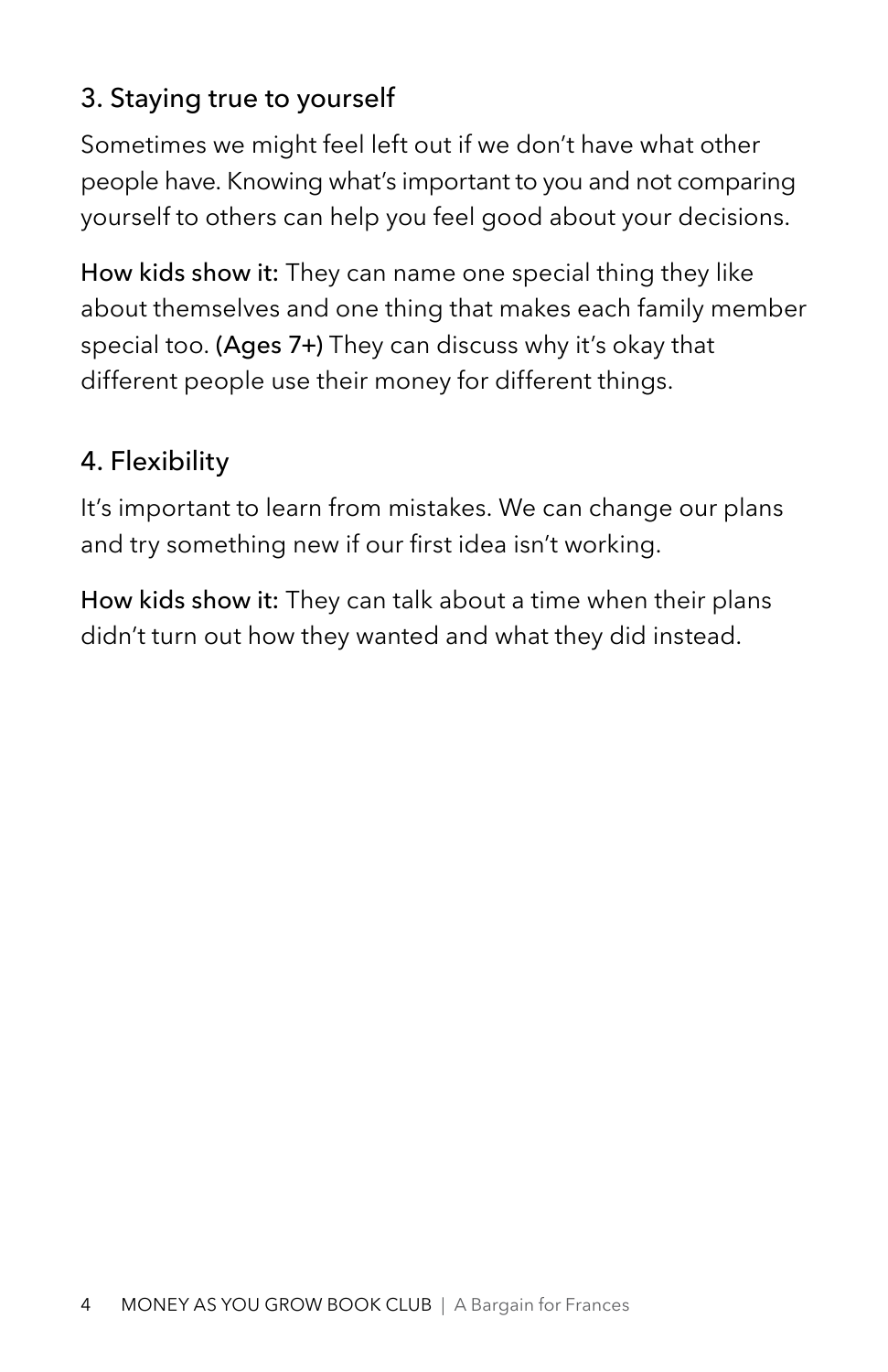## 3. Staying true to yourself

Sometimes we might feel left out if we don't have what other people have. Knowing what's important to you and not comparing yourself to others can help you feel good about your decisions.

How kids show it: They can name one special thing they like about themselves and one thing that makes each family member special too. (Ages 7+) They can discuss why it's okay that different people use their money for different things.

## 4. Flexibility

It's important to learn from mistakes. We can change our plans and try something new if our first idea isn't working.

How kids show it: They can talk about a time when their plans didn't turn out how they wanted and what they did instead.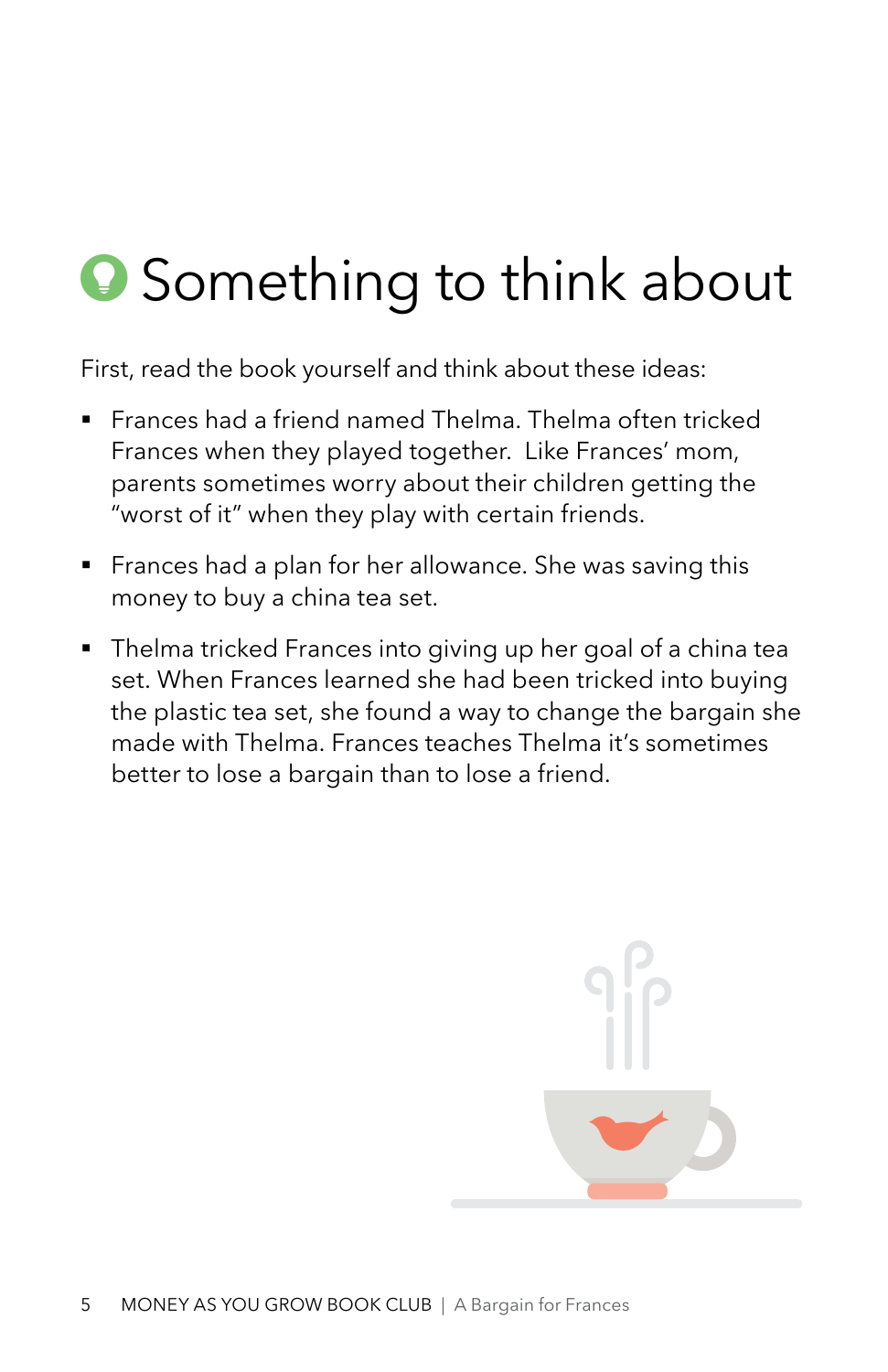## **Something to think about**

First, read the book yourself and think about these ideas:

- Frances had a friend named Thelma. Thelma often tricked Frances when they played together. Like Frances' mom, parents sometimes worry about their children getting the "worst of it" when they play with certain friends.
- Frances had a plan for her allowance. She was saving this money to buy a china tea set.
- Thelma tricked Frances into giving up her goal of a china tea set. When Frances learned she had been tricked into buying the plastic tea set, she found a way to change the bargain she made with Thelma. Frances teaches Thelma it's sometimes better to lose a bargain than to lose a friend.

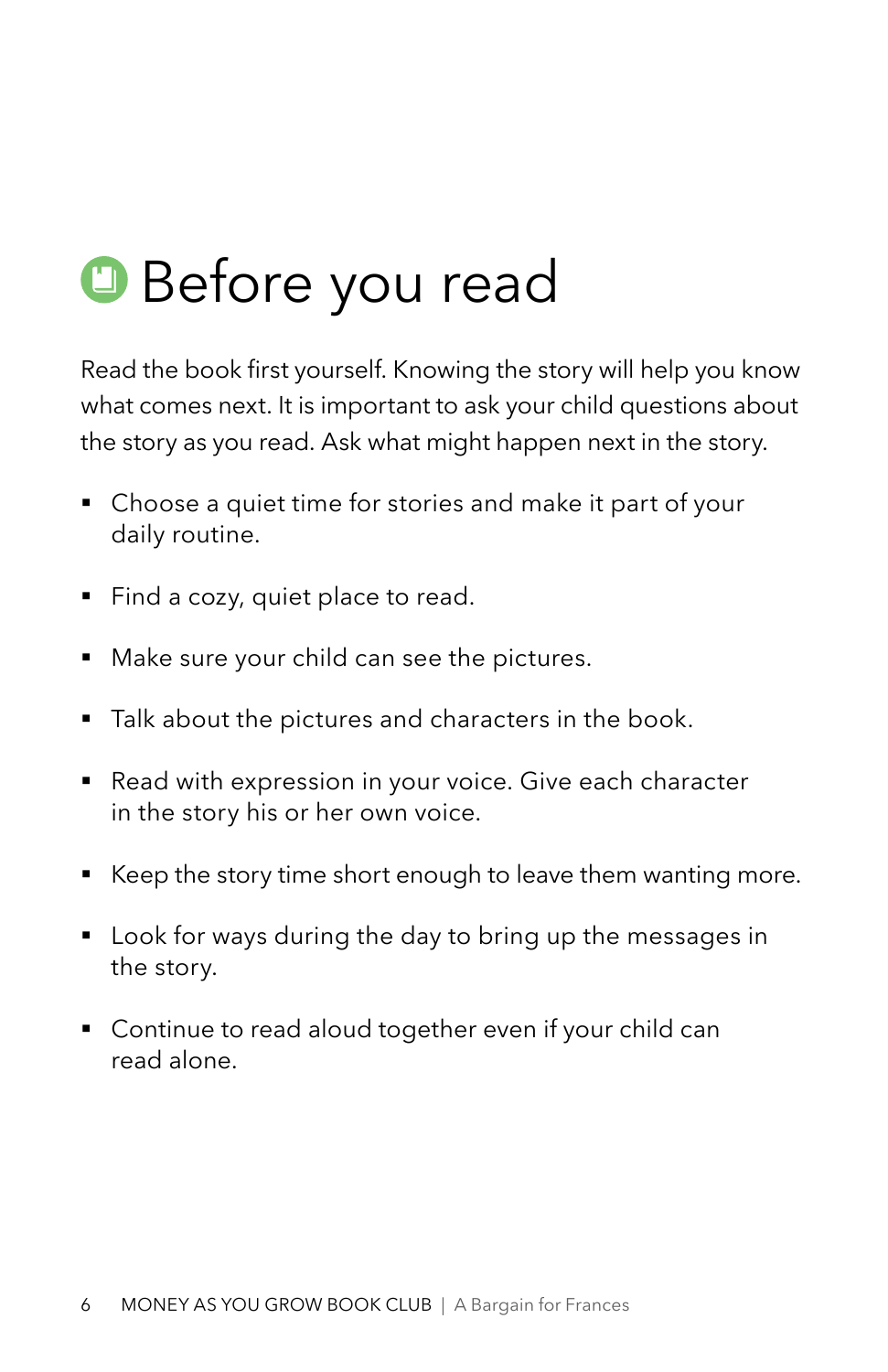## **Before you read**

Read the book first yourself. Knowing the story will help you know what comes next. It is important to ask your child questions about the story as you read. Ask what might happen next in the story.

- Choose a quiet time for stories and make it part of your daily routine.
- Find a cozy, quiet place to read.
- Make sure your child can see the pictures.
- **•** Talk about the pictures and characters in the book.
- Read with expression in your voice. Give each character in the story his or her own voice.
- Keep the story time short enough to leave them wanting more.
- Look for ways during the day to bring up the messages in the story.
- Continue to read aloud together even if your child can read alone.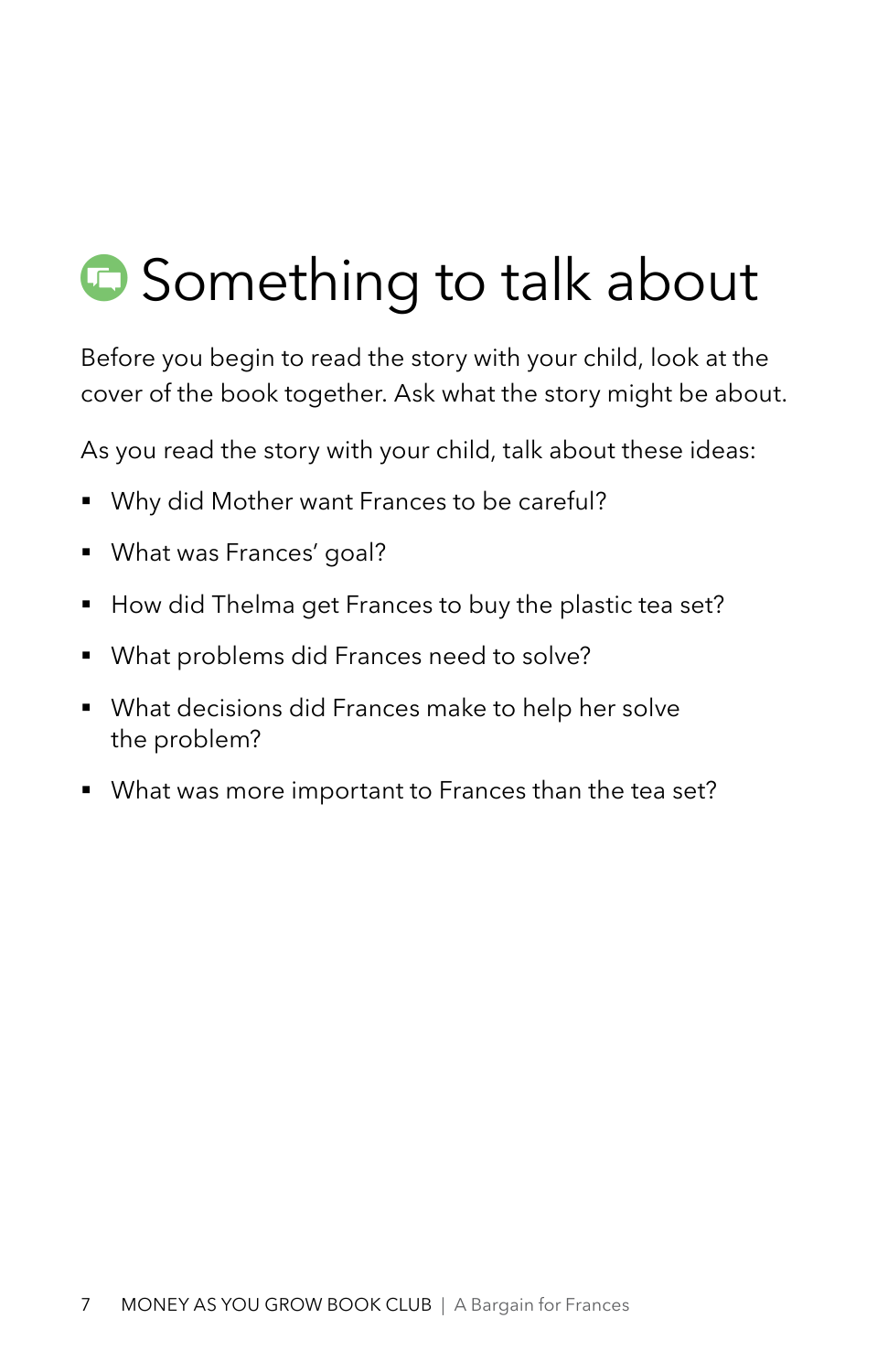## **Something to talk about**

Before you begin to read the story with your child, look at the cover of the book together. Ask what the story might be about.

As you read the story with your child, talk about these ideas:

- Why did Mother want Frances to be careful?
- § What was Frances' goal?
- How did Thelma get Frances to buy the plastic tea set?
- § What problems did Frances need to solve?
- § What decisions did Frances make to help her solve the problem?
- What was more important to Frances than the tea set?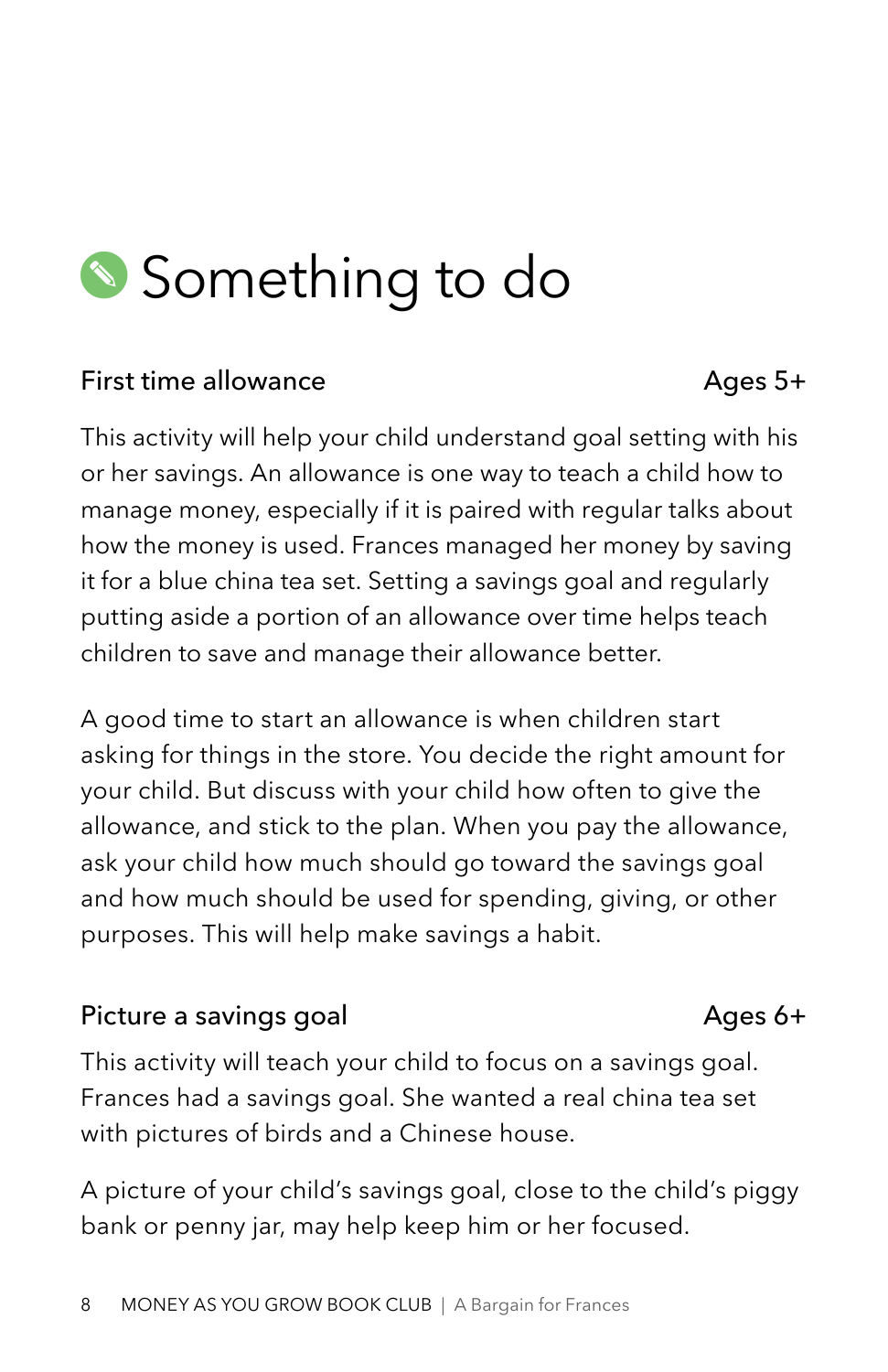## Something to do

#### First time allowance and a set of the Ages 5+

This activity will help your child understand goal setting with his or her savings. An allowance is one way to teach a child how to manage money, especially if it is paired with regular talks about how the money is used. Frances managed her money by saving it for a blue china tea set. Setting a savings goal and regularly putting aside a portion of an allowance over time helps teach children to save and manage their allowance better.

A good time to start an allowance is when children start asking for things in the store. You decide the right amount for your child. But discuss with your child how often to give the allowance, and stick to the plan. When you pay the allowance, ask your child how much should go toward the savings goal and how much should be used for spending, giving, or other purposes. This will help make savings a habit.

#### Picture a savings goal and a sample of the Ages 6+

This activity will teach your child to focus on a savings goal. Frances had a savings goal. She wanted a real china tea set with pictures of birds and a Chinese house.

A picture of your child's savings goal, close to the child's piggy bank or penny jar, may help keep him or her focused.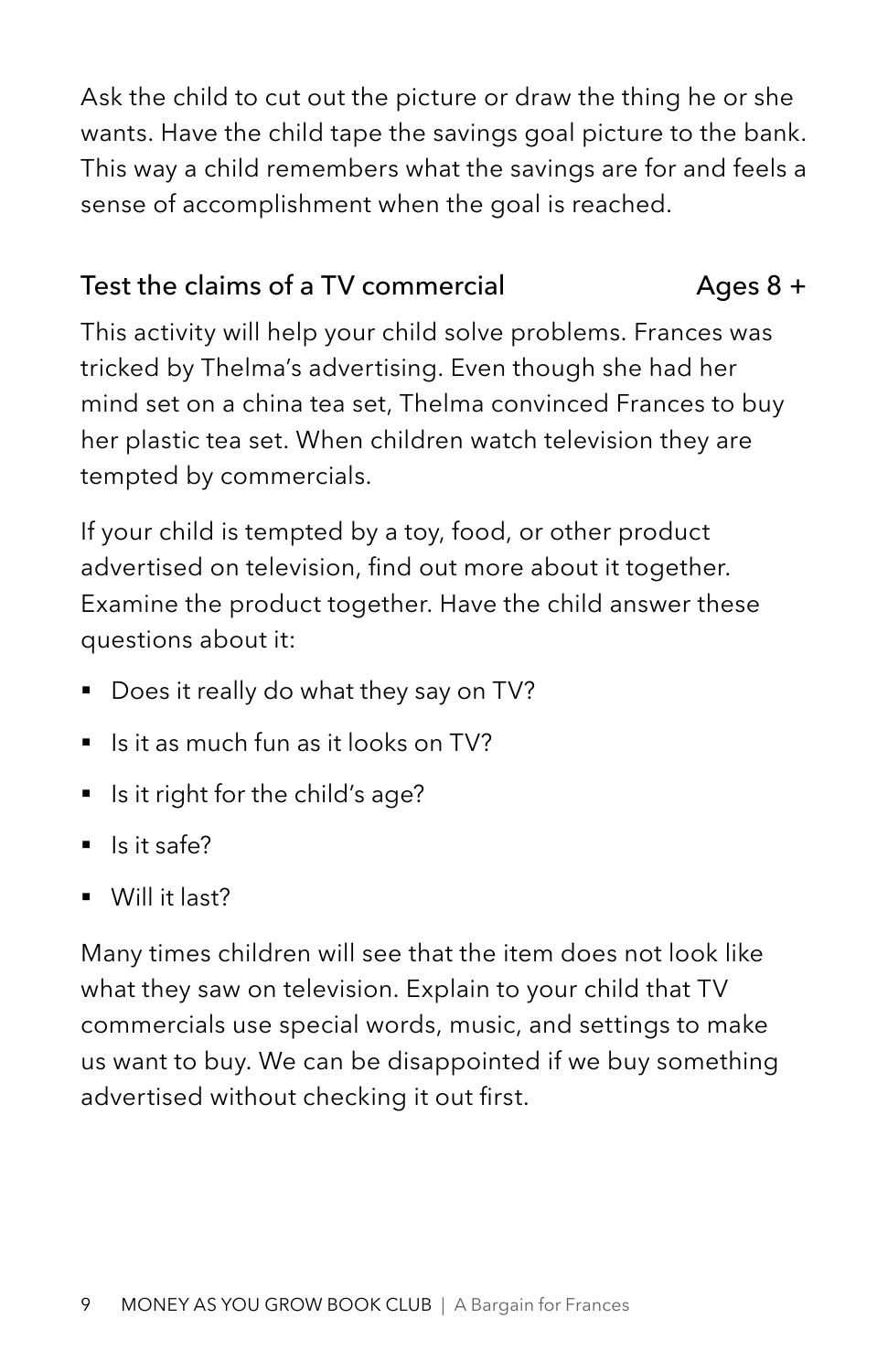Ask the child to cut out the picture or draw the thing he or she wants. Have the child tape the savings goal picture to the bank. This way a child remembers what the savings are for and feels a sense of accomplishment when the goal is reached.

## Test the claims of a TV commercial  $Aq$ es 8 +

This activity will help your child solve problems. Frances was tricked by Thelma's advertising. Even though she had her mind set on a china tea set, Thelma convinced Frances to buy her plastic tea set. When children watch television they are tempted by commercials.

If your child is tempted by a toy, food, or other product advertised on television, find out more about it together. Examine the product together. Have the child answer these questions about it:

- Does it really do what they say on TV?
- Is it as much fun as it looks on TV?
- Is it right for the child's age?
- Is it safe?
- § Will it last?

Many times children will see that the item does not look like what they saw on television. Explain to your child that TV commercials use special words, music, and settings to make us want to buy. We can be disappointed if we buy something advertised without checking it out first.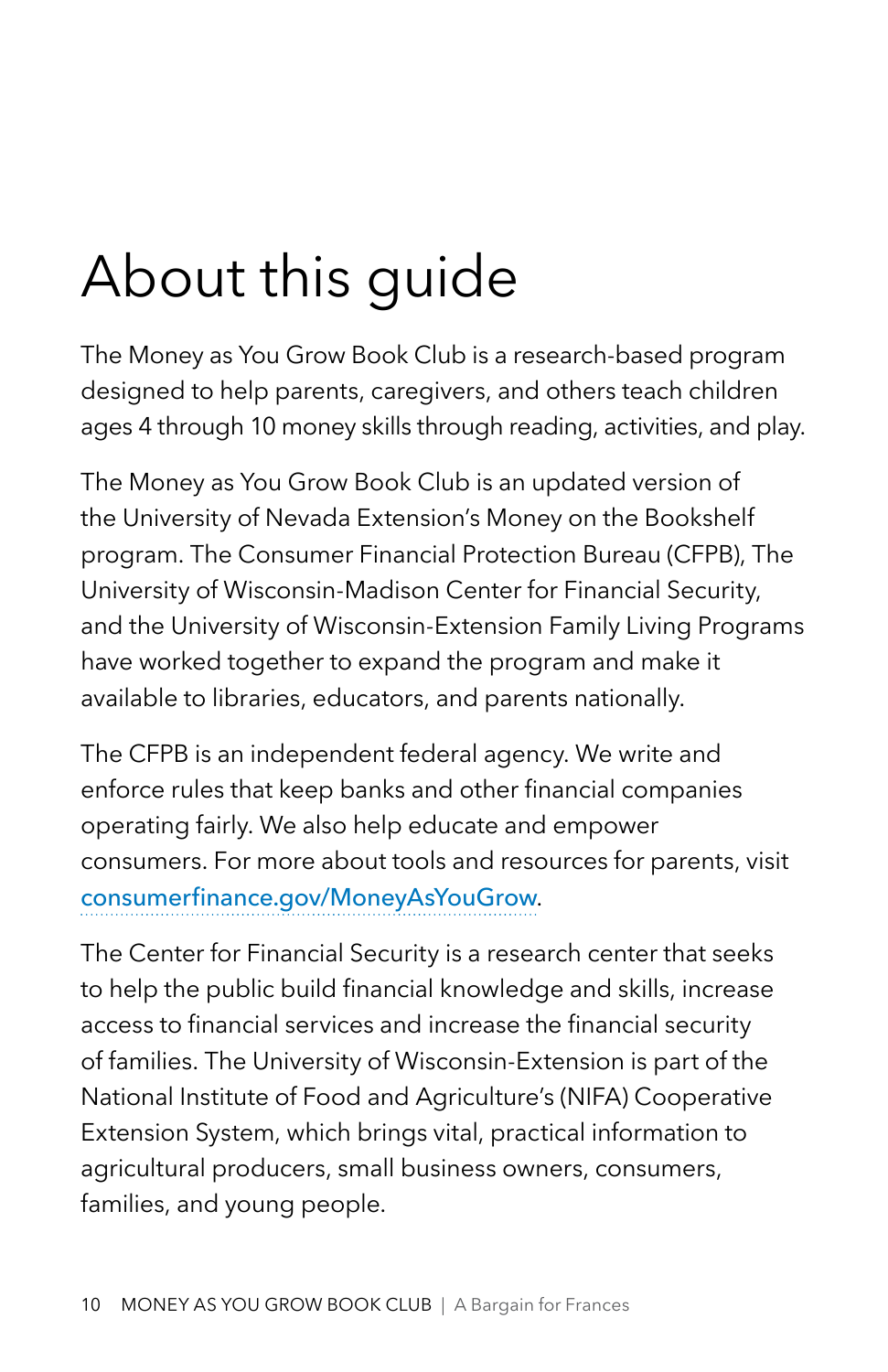# About this guide

The Money as You Grow Book Club is a research-based program designed to help parents, caregivers, and others teach children ages 4 through 10 money skills through reading, activities, and play.

The Money as You Grow Book Club is an updated version of the University of Nevada Extension's Money on the Bookshelf program. The Consumer Financial Protection Bureau (CFPB), The University of Wisconsin-Madison Center for Financial Security, and the University of Wisconsin-Extension Family Living Programs have worked together to expand the program and make it available to libraries, educators, and parents nationally.

The CFPB is an independent federal agency. We write and enforce rules that keep banks and other financial companies operating fairly. We also help educate and empower consumers. For more about tools and resources for parents, visit [consumerfinance.gov/MoneyAsYouGrow](http://consumerfinance.gov/MoneyAsYouGrow).

The Center for Financial Security is a research center that seeks to help the public build financial knowledge and skills, increase access to financial services and increase the financial security of families. The University of Wisconsin-Extension is part of the National Institute of Food and Agriculture's (NIFA) Cooperative Extension System, which brings vital, practical information to agricultural producers, small business owners, consumers, families, and young people.